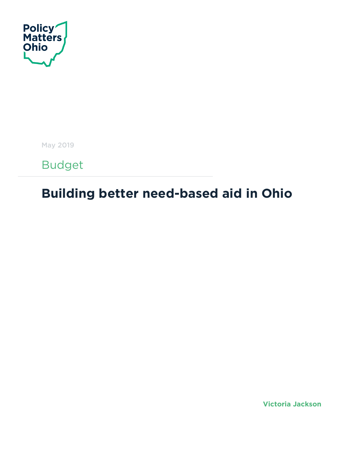

May 2019

Budget

# **Building better need-based aid in Ohio**

**Victoria Jackson**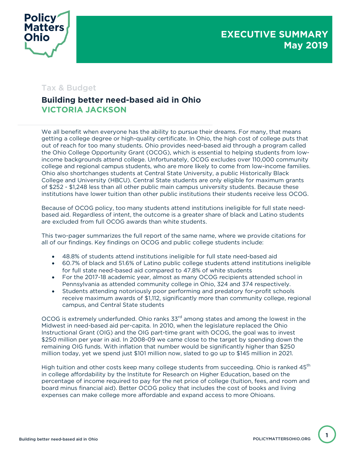

### Tax & Budget

### **Building better need-based aid in Ohio VICTORIA JACKSON**

We all benefit when everyone has the ability to pursue their dreams. For many, that means getting a college degree or high-quality certificate. In Ohio, the high cost of college puts that out of reach for too many students. Ohio provides need-based aid through a program called the Ohio College Opportunity Grant (OCOG), which is essential to helping students from lowincome backgrounds attend college. Unfortunately, OCOG excludes over 110,000 community college and regional campus students, who are more likely to come from low-income families. Ohio also shortchanges students at Central State University, a public Historically Black College and University (HBCU). Central State students are only eligible for maximum grants of \$252 - \$1,248 less than all other public main campus university students. Because these institutions have lower tuition than other public institutions their students receive less OCOG.

Because of OCOG policy, too many students attend institutions ineligible for full state needbased aid. Regardless of intent, the outcome is a greater share of black and Latino students are excluded from full OCOG awards than white students.

This two-pager summarizes the full report of the same name, where we provide citations for all of our findings. Key findings on OCOG and public college students include:

- 48.8% of students attend institutions ineligible for full state need-based aid
- 60.7% of black and 51.6% of Latino public college students attend institutions ineligible for full state need-based aid compared to 47.8% of white students
- For the 2017-18 academic year, almost as many OCOG recipients attended school in Pennsylvania as attended community college in Ohio, 324 and 374 respectively.
- Students attending notoriously poor performing and predatory for-profit schools receive maximum awards of \$1,112, significantly more than community college, regional campus, and Central State students

OCOG is extremely underfunded. Ohio ranks 33<sup>rd</sup> among states and among the lowest in the Midwest in need-based aid per-capita. In 2010, when the legislature replaced the Ohio Instructional Grant (OIG) and the OIG part-time grant with OCOG, the goal was to invest \$250 million per year in aid. In 2008-09 we came close to the target by spending down the remaining OIG funds. With inflation that number would be significantly higher than \$250 million today, yet we spend just \$101 million now, slated to go up to \$145 million in 2021.

High tuition and other costs keep many college students from succeeding. Ohio is ranked 45<sup>th</sup> in college affordability by the Institute for Research on Higher Education, based on the percentage of income required to pay for the net price of college (tuition, fees, and room and board minus financial aid). Better OCOG policy that includes the cost of books and living expenses can make college more affordable and expand access to more Ohioans.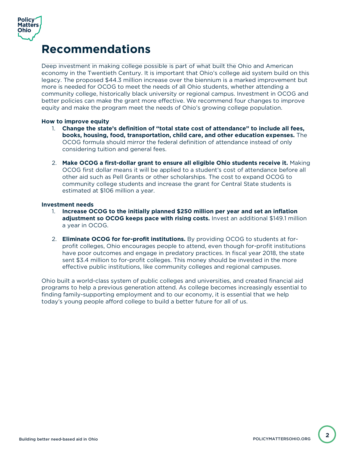

## **Recommendations**

Deep investment in making college possible is part of what built the Ohio and American economy in the Twentieth Century. It is important that Ohio's college aid system build on this legacy. The proposed \$44.3 million increase over the biennium is a marked improvement but more is needed for OCOG to meet the needs of all Ohio students, whether attending a community college, historically black university or regional campus. Investment in OCOG and better policies can make the grant more effective. We recommend four changes to improve equity and make the program meet the needs of Ohio's growing college population.

#### **How to improve equity**

- 1. **Change the state's definition of "total state cost of attendance" to include all fees, books, housing, food, transportation, child care, and other education expenses.** The OCOG formula should mirror the federal definition of attendance instead of only considering tuition and general fees.
- 2. **Make OCOG a first-dollar grant to ensure all eligible Ohio students receive it.** Making OCOG first dollar means it will be applied to a student's cost of attendance before all other aid such as Pell Grants or other scholarships. The cost to expand OCOG to community college students and increase the grant for Central State students is estimated at \$106 million a year.

#### **Investment needs**

- 1. **Increase OCOG to the initially planned \$250 million per year and set an inflation adjustment so OCOG keeps pace with rising costs.** Invest an additional \$149.1 million a year in OCOG.
- 2. **Eliminate OCOG for for-profit institutions.** By providing OCOG to students at forprofit colleges, Ohio encourages people to attend, even though for-profit institutions have poor outcomes and engage in predatory practices. In fiscal year 2018, the state sent \$3.4 million to for-profit colleges. This money should be invested in the more effective public institutions, like community colleges and regional campuses.

Ohio built a world-class system of public colleges and universities, and created financial aid programs to help a previous generation attend. As college becomes increasingly essential to finding family-supporting employment and to our economy, it is essential that we help today's young people afford college to build a better future for all of us.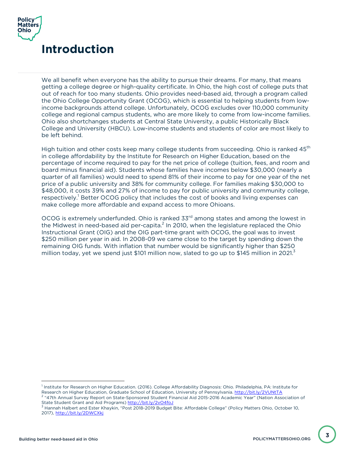

We all benefit when everyone has the ability to pursue their dreams. For many, that means getting a college degree or high-quality certificate. In Ohio, the high cost of college puts that out of reach for too many students. Ohio provides need-based aid, through a program called the Ohio College Opportunity Grant (OCOG), which is essential to helping students from lowincome backgrounds attend college. Unfortunately, OCOG excludes over 110,000 community college and regional campus students, who are more likely to come from low-income families. Ohio also shortchanges students at Central State University, a public Historically Black College and University (HBCU). Low-income students and students of color are most likely to be left behind.

High tuition and other costs keep many college students from succeeding. Ohio is ranked 45<sup>th</sup> in college affordability by the Institute for Research on Higher Education, based on the percentage of income required to pay for the net price of college (tuition, fees, and room and board minus financial aid). Students whose families have incomes below \$30,000 (nearly a quarter of all families) would need to spend 81% of their income to pay for one year of the net price of a public university and 38% for community college. For families making \$30,000 to \$48,000, it costs 39% and 27% of income to pay for public university and community college, respectively.<sup>1</sup> Better OCOG policy that includes the cost of books and living expenses can make college more affordable and expand access to more Ohioans.

OCOG is extremely underfunded. Ohio is ranked 33<sup>rd</sup> among states and among the lowest in the Midwest in need-based aid per-capita. $^2$  In 2010, when the legislature replaced the Ohio Instructional Grant (OIG) and the OIG part-time grant with OCOG, the goal was to invest \$250 million per year in aid. In 2008-09 we came close to the target by spending down the remaining OIG funds. With inflation that number would be significantly higher than \$250 million today, yet we spend just \$101 million now, slated to go up to \$145 million in 2021.<sup>3</sup>

<sup>&</sup>lt;sup>1</sup> Institute for Research on Higher Education. (2016). College Affordability Diagnosis: Ohio. Philadelphia, PA: Institute for Research on Higher Education, Graduate School of Education, University of Pennsylvania. <u>http://bit.ly/2VUNtTA</u><br><sup>2</sup> "47th Annual Survey Report on State-Sponsored Student Financial Aid 2015-2016 Academic Year" (Nation Assoc

State Student Grant and Aid Programs) http://bit.ly/2vO4foJ <sup>3</sup> Hannah Halbert and Ester Khaykin, "Post 2018-2019 Budget Bite: Affordable College" (Policy Matters Ohio, October 10, 2017), http://bit.ly/2DWCXkj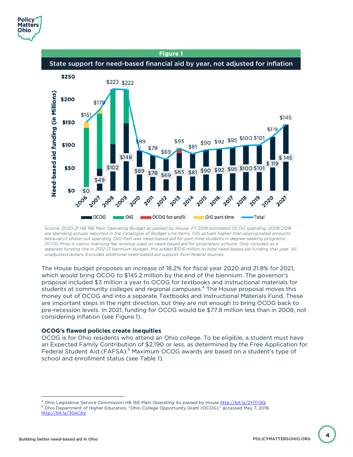



*Source: 2020-21 HB 166 Main Operating Budget as passed by House. FY 2019 estimated OCOG spending. 2006-2016 are spending actuals reported in the Catalogue of Budget Line Items. OIG actuals higher than appropriated amounts because of phase-out spending. OIG-Part was need-based aid for part-time students in degree-seeking programs. OCOG-Prop is casino licensing fee revenue used on need-based aid for proprietary schools. Only included as a separate funding line in 2012-13 biennium budget, this added \$10.6 million to total need-based aid funding that year. All unadjusted dollars. Excludes additional need-based aid support from federal sources.*

The House budget proposes an increase of 18.2% for fiscal year 2020 and 21.8% for 2021, which would bring OCOG to \$145.2 million by the end of the biennium. The governor's proposal included \$3 million a year to OCOG for textbooks and instructional materials for students at community colleges and regional campuses.<sup>4</sup> The House proposal moves this money out of OCOG and into a separate Textbooks and Instructional Materials Fund. These are important steps in the right direction, but they are not enough to bring OCOG back to pre-recession levels. In 2021, funding for OCOG would be \$77.8 million less than in 2008, not considering inflation (see Figure 1).

#### **OCOG's flawed policies create inequities**

OCOG is for Ohio residents who attend an Ohio college. To be eligible, a student must have an Expected Family Contribution of \$2,190 or less, as determined by the Free Application for Federal Student Aid (FAFSA).<sup>5</sup> Maximum OCOG awards are based on a student's type of school and enrollment status (see Table 1).

<sup>4</sup> Ohio Legislative Service Commission HB 166 Main Operating As passed by House http://bit.ly/2YlTrdQ <sup>5</sup> Ohio Department of Higher Education, "Ohio College Opportunity Grant (OCOG)," accessed May 7, 2019, http://bit.ly/30aCzIz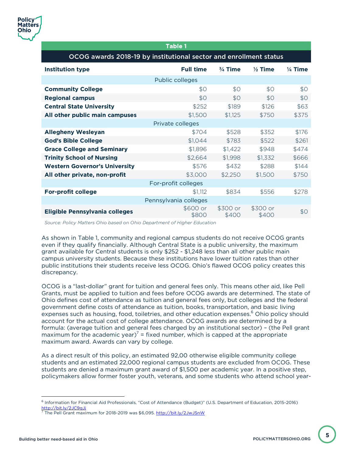#### Table 1 OCOG awards 2018-19 by institutional sector and enrollment status **Institution type Full time ¾ Time ½ Time ¼ Time** Public colleges **Community College**  $$0$   $$0$   $$0$   $$0$   $$0$ **Regional campus**  $$0$   $$0$   $$0$   $$0$   $$0$ **Central State University**  $$252$   $$189$   $$126$   $$63$ **All other public main campuses**  $$1,500$   $$1,125$   $$750$   $$375$ Private colleges **Allegheny Wesleyan** \$704 \$528 \$352 \$176 **God's Bible College**  $$1,044$   $$783$   $$522$   $$261$ **Grace College and Seminary 51,896** \$1,896 \$1,422 \$948 \$474 **Trinity School of Nursing**  $$2,664$   $$1,998$   $$1,332$   $$666$ **Western Governor's University** 1998 **\$576** \$432 \$288 \$144 **All other private, non-profit**  $$3,000$   $$2,250$   $$1,500$   $$750$ For-profit colleges **For-profit college**  $$1,112$   $$834$   $$556$   $$278$ Pennsylvania colleges **Eligible Pennsylvania colleges** \$600 or \$800 \$300 or \$400 \$300 or  $$400$  \$0

*Source: Policy Matters Ohio based on Ohio Department of Higher Education*

As shown in Table 1, community and regional campus students do not receive OCOG grants even if they qualify financially. Although Central State is a public university, the maximum grant available for Central students is only \$252 - \$1,248 less than all other public main campus university students. Because these institutions have lower tuition rates than other public institutions their students receive less OCOG. Ohio's flawed OCOG policy creates this discrepancy.

OCOG is a "last-dollar" grant for tuition and general fees only. This means other aid, like Pell Grants, must be applied to tuition and fees before OCOG awards are determined. The state of Ohio defines cost of attendance as tuition and general fees only, but colleges and the federal government define costs of attendance as tuition, books, transportation, and basic living expenses such as housing, food, toiletries, and other education expenses. <sup>6</sup> Ohio policy should account for the actual cost of college attendance. OCOG awards are determined by a formula: (average tuition and general fees charged by an institutional sector) – (the Pell grant maximum for the academic year)<sup>7</sup> = fixed number, which is capped at the appropriate maximum award. Awards can vary by college.

As a direct result of this policy, an estimated 92,00 otherwise eligible community college students and an estimated 22,000 regional campus students are excluded from OCOG. These students are denied a maximum grant award of \$1,500 per academic year. In a positive step, policymakers allow former foster youth, veterans, and some students who attend school year-

<sup>6</sup> Information for Financial Aid Professionals, "Cost of Attendance (Budget)" (U.S. Department of Education, 2015-2016) http://bit.ly/2JC9gJj

The Pell Grant maximum for 2018-2019 was \$6,095. http://bit.ly/2JwJSnW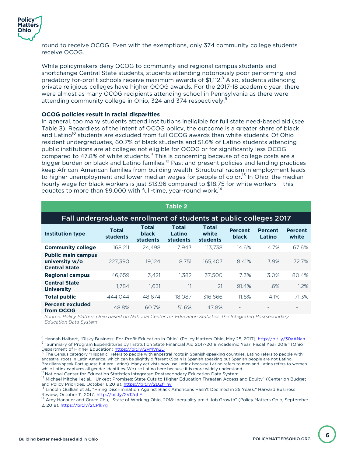

round to receive OCOG. Even with the exemptions, only 374 community college students receive OCOG.

While policymakers deny OCOG to community and regional campus students and shortchange Central State students, students attending notoriously poor performing and predatory for-profit schools receive maximum awards of  $$1,112<sup>8</sup>$  Also, students attending private religious colleges have higher OCOG awards. For the 2017-18 academic year, there were almost as many OCOG recipients attending school in Pennsylvania as there were attending community college in Ohio, 324 and 374 respectively.<sup>9</sup>

#### **OCOG policies result in racial disparities**

In general, too many students attend institutions ineligible for full state need-based aid (see Table 3). Regardless of the intent of OCOG policy, the outcome is a greater share of black and Latino<sup>10</sup> students are excluded from full OCOG awards than white students. Of Ohio resident undergraduates, 60.7% of black students and 51.6% of Latino students attending public institutions are at colleges not eligible for OCOG or for significantly less OCOG compared to 47.8% of white students.<sup>11</sup> This is concerning because of college costs are a bigger burden on black and Latino families.<sup>12</sup> Past and present policies and lending practices keep African-American families from building wealth. Structural racism in employment leads to higher unemployment and lower median wages for people of color.<sup>13</sup> In Ohio, the median hourly wage for black workers is just \$13.96 compared to \$18.75 for white workers – this equates to more than \$9,000 with full-time, year-round work.<sup>14</sup>

| <b>Table 2</b>                                                      |                          |                                          |                             |                                   |                                |                          |                         |  |  |  |
|---------------------------------------------------------------------|--------------------------|------------------------------------------|-----------------------------|-----------------------------------|--------------------------------|--------------------------|-------------------------|--|--|--|
| Fall undergraduate enrollment of students at public colleges 2017   |                          |                                          |                             |                                   |                                |                          |                         |  |  |  |
| <b>Institution type</b>                                             | <b>Total</b><br>students | <b>Total</b><br><b>black</b><br>students | Total<br>Latino<br>students | <b>Total</b><br>white<br>students | <b>Percent</b><br><b>black</b> | <b>Percent</b><br>Latino | <b>Percent</b><br>white |  |  |  |
| <b>Community college</b>                                            | 168.211                  | 24,498                                   | 7.943                       | 113.738                           | 14.6%                          | 4.7%                     | 67.6%                   |  |  |  |
| <b>Public main campus</b><br>university w/o<br><b>Central State</b> | 227.390                  | 19.124                                   | 8.751                       | 165.407                           | 8.41%                          | 3.9%                     | 72.7%                   |  |  |  |
| <b>Regional campus</b>                                              | 46.659                   | 3.421                                    | 1.382                       | 37.500                            | 7.3%                           | 3.0%                     | 80.4%                   |  |  |  |
| <b>Central State</b><br><b>University</b>                           | 1.784                    | 1.631                                    | 11                          | 21                                | 91.4%                          | .6%                      | 1.2%                    |  |  |  |
| <b>Total public</b>                                                 | 444.044                  | 48.674                                   | 18.087                      | 316.666                           | 11.6%                          | 4.1%                     | 71.3%                   |  |  |  |
| <b>Percent excluded</b><br>from OCOG                                | 48.8%                    | 60.7%                                    | 51.6%                       | 47.8%                             |                                |                          |                         |  |  |  |

*Source: Policy Matters Ohio based on National Center for Education Statistics The Integrated Postsecondary Education Data System*

<sup>&</sup>lt;sup>8</sup> Hannah Halbert, "Risky Business: For-Profit Education in Ohio" (Policy Matters Ohio, May 25, 2017), <u>http://bit.ly/30aANan</u><br><sup>9</sup> "Summary of Program Expenditures by Institution State Financial Aid 2017-2018 Academic Yea

The Census category "Hispanic" refers to people with ancestral roots in Spanish-speaking countries. Latino refers to people with ancestral roots in Latin America, which can be slightly different (Spain is Spanish speaking but Spanish people are not Latino, Brazilians speak Portuguese but are Latino). Many activists now use Latinx because Latino refers to men and Latina refers to women while Latinx captures all gender identities. We use Latino here because it is more widely understood.

<sup>&</sup>lt;sup>11</sup> National Center for Education Statistics Integrated Postsecondary Education Data System 12 Michael Mitchell et al., "Unkept Promises: State Cuts to Higher Education Threaten Access and Equity" (Center on Budget 12 Mi and Policy Priorities, October 1, 2018), <u>https://bit.ly/2DZfTny</u><br><sup>13</sup> Lincoln Quillian et al., "Hiring Discrimination Against Black Americans Hasn't Declined in 25 Years," Harvard Business

Review, October 11, 2017, <u>http://bit.ly/2Vf2qLF</u><br><sup>14</sup> Amy Hanauer and Grace Chu, "State of Working Ohio, 2018: Inequality amid Job Growth" (Policy Matters Ohio, September 2, 2018), https://bit.ly/2CPlk7g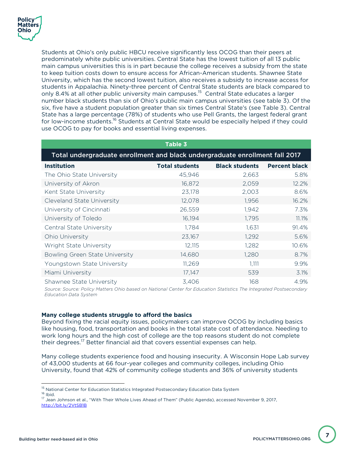

Students at Ohio's only public HBCU receive significantly less OCOG than their peers at predominately white public universities. Central State has the lowest tuition of all 13 public main campus universities this is in part because the college receives a subsidy from the state to keep tuition costs down to ensure access for African-American students. Shawnee State University, which has the second lowest tuition, also receives a subsidy to increase access for students in Appalachia. Ninety-three percent of Central State students are black compared to only 8.4% at all other public university main campuses.<sup>15</sup> Central State educates a larger number black students than six of Ohio's public main campus universities (see table 3). Of the six, five have a student population greater than six times Central State's (see Table 3). Central State has a large percentage (78%) of students who use Pell Grants, the largest federal grant for low-income students.<sup>16</sup> Students at Central State would be especially helped if they could use OCOG to pay for books and essential living expenses.

| Table 3                                                                     |                       |                       |                      |  |  |  |  |  |  |
|-----------------------------------------------------------------------------|-----------------------|-----------------------|----------------------|--|--|--|--|--|--|
| Total undergraduate enrollment and black undergraduate enrollment fall 2017 |                       |                       |                      |  |  |  |  |  |  |
| <b>Institution</b>                                                          | <b>Total students</b> | <b>Black students</b> | <b>Percent black</b> |  |  |  |  |  |  |
| The Ohio State University                                                   | 45,946                | 2,663                 | 5.8%                 |  |  |  |  |  |  |
| University of Akron                                                         | 16,872                | 2,059                 | 12.2%                |  |  |  |  |  |  |
| Kent State University                                                       | 23,178                | 2,003                 | 8.6%                 |  |  |  |  |  |  |
| Cleveland State University                                                  | 12,078                | 1,956                 | 16.2%                |  |  |  |  |  |  |
| University of Cincinnati                                                    | 26,559                | 1,942                 | 7.3%                 |  |  |  |  |  |  |
| University of Toledo                                                        | 16,194                | 1,795                 | 11.1%                |  |  |  |  |  |  |
| <b>Central State University</b>                                             | 1,784                 | 1,631                 | 91.4%                |  |  |  |  |  |  |
| Ohio University                                                             | 23,167                | 1,292                 | 5.6%                 |  |  |  |  |  |  |
| <b>Wright State University</b>                                              | 12,115                | 1,282                 | 10.6%                |  |  |  |  |  |  |
| Bowling Green State University                                              | 14,680                | 1,280                 | 8.7%                 |  |  |  |  |  |  |
| Youngstown State University                                                 | 11,269                | 1,111                 | 9.9%                 |  |  |  |  |  |  |
| Miami University                                                            | 17,147                | 539                   | 3.1%                 |  |  |  |  |  |  |
| Shawnee State University                                                    | 3,406                 | 168                   | 4.9%                 |  |  |  |  |  |  |

*Source: Source: Policy Matters Ohio based on National Center for Education Statistics The Integrated Postsecondary Education Data System*

#### **Many college students struggle to afford the basics**

Beyond fixing the racial equity issues, policymakers can improve OCOG by including basics like housing, food, transportation and books in the total state cost of attendance. Needing to work long hours and the high cost of college are the top reasons student do not complete their degrees.<sup>17</sup> Better financial aid that covers essential expenses can help.

Many college students experience food and housing insecurity. A Wisconsin Hope Lab survey of 43,000 students at 66 four-year colleges and community colleges, including Ohio University, found that 42% of community college students and 36% of university students

<sup>&</sup>lt;sup>15</sup> National Center for Education Statistics Integrated Postsecondary Education Data System 16 Ibid. 16 Ibid. 16 Ibid. 16 Ibid. 16 Ibid. 17 Jean Johnson et al., "With Their Whole Lives Ahead of Them" (Public Agenda), acc

http://bit.ly/2VtSB1B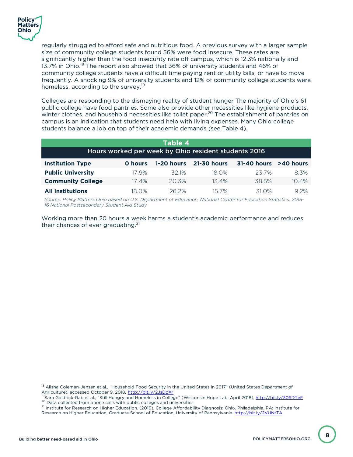

regularly struggled to afford safe and nutritious food. A previous survey with a larger sample size of community college students found 56% were food insecure. These rates are significantly higher than the food insecurity rate off campus, which is 12.3% nationally and 13.7% in Ohio.<sup>18</sup> The report also showed that 36% of university students and 46% of community college students have a difficult time paying rent or utility bills; or have to move frequently. A shocking 9% of university students and 12% of community college students were homeless, according to the survey.<sup>19</sup>

Colleges are responding to the dismaying reality of student hunger The majority of Ohio's 61 public college have food pantries. Some also provide other necessities like hygiene products, winter clothes, and household necessities like toilet paper.<sup>20</sup> The establishment of pantries on campus is an indication that students need help with living expenses. Many Ohio college students balance a job on top of their academic demands (see Table 4).

| Table 4                                              |                |            |                    |                    |           |  |  |  |  |
|------------------------------------------------------|----------------|------------|--------------------|--------------------|-----------|--|--|--|--|
| Hours worked per week by Ohio resident students 2016 |                |            |                    |                    |           |  |  |  |  |
| <b>Institution Type</b>                              | <b>O</b> hours | 1-20 hours | <b>21-30 hours</b> | <b>31-40 hours</b> | >40 hours |  |  |  |  |
| <b>Public University</b>                             | 17.9%          | 321%       | 18.0%              | 237%               | 8.3%      |  |  |  |  |
| <b>Community College</b>                             | $17.4\%$       | 20.3%      | $13.4\%$           | 38.5%              | 10.4%     |  |  |  |  |
| <b>All institutions</b>                              | 18 O%          | 26.2%      | 15 7%              | 31 0%              | 9.2%      |  |  |  |  |

*Source: Policy Matters Ohio based on U.S. Department of Education, National Center for Education Statistics, 2015- 16 National Postsecondary Student Aid Study* 

Working more than 20 hours a week harms a student's academic performance and reduces their chances of ever graduating.<sup>21</sup>

<sup>&</sup>lt;sup>18</sup> Alisha Coleman-Jensen et al., "Household Food Security in the United States in 2017" (United States Department of Agriculture), accessed October 9, 2018, http://bit.ly/2JsDoXr<br><sup>19</sup>Sara Goldrick-Rab et al., "Still Hungry and Homeless in College" (Wisconsin Hope Lab, April 2018), http://bit.ly/309DTeF

 $^{20}$  Data collected from phone calls with public colleges and universities<br><sup>21</sup> Institute for Research on Higher Education. (2016). College Affordability Diagnosis: Ohio. Philadelphia, PA: Institute for

Research on Higher Education, Graduate School of Education, University of Pennsylvania. http://bit.ly/2VUNtTA